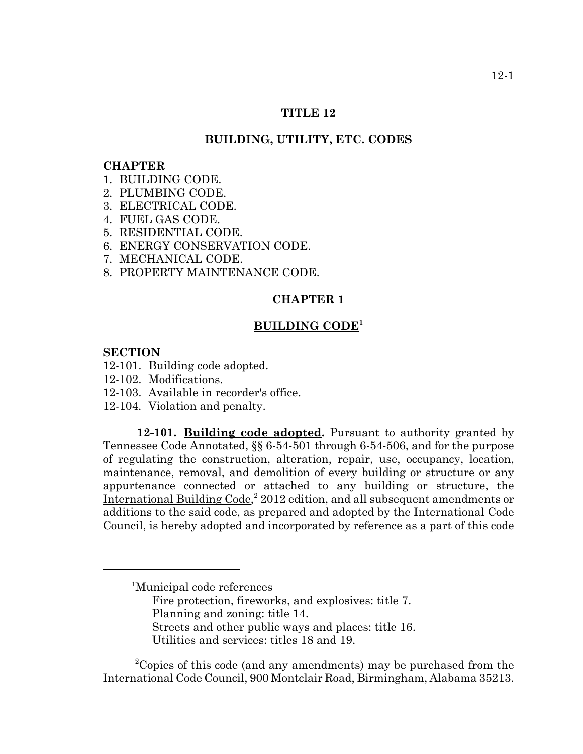### **TITLE 12**

# **BUILDING, UTILITY, ETC. CODES**

#### **CHAPTER**

- 1. BUILDING CODE.
- 2. PLUMBING CODE.
- 3. ELECTRICAL CODE.
- 4. FUEL GAS CODE.
- 5. RESIDENTIAL CODE.
- 6. ENERGY CONSERVATION CODE.
- 7. MECHANICAL CODE.
- 8. PROPERTY MAINTENANCE CODE.

# **CHAPTER 1**

### **BUILDING CODE1**

# **SECTION**

- 12-101. Building code adopted.
- 12-102. Modifications.
- 12-103. Available in recorder's office.
- 12-104. Violation and penalty.

**12-101. Building code adopted.** Pursuant to authority granted by Tennessee Code Annotated, §§ 6-54-501 through 6-54-506, and for the purpose of regulating the construction, alteration, repair, use, occupancy, location, maintenance, removal, and demolition of every building or structure or any appurtenance connected or attached to any building or structure, the International Building Code,<sup>2</sup> 2012 edition, and all subsequent amendments or additions to the said code, as prepared and adopted by the International Code Council, is hereby adopted and incorporated by reference as a part of this code

- Fire protection, fireworks, and explosives: title 7. Planning and zoning: title 14.
- Streets and other public ways and places: title 16. Utilities and services: titles 18 and 19.
- 

<sup>1</sup> <sup>1</sup>Municipal code references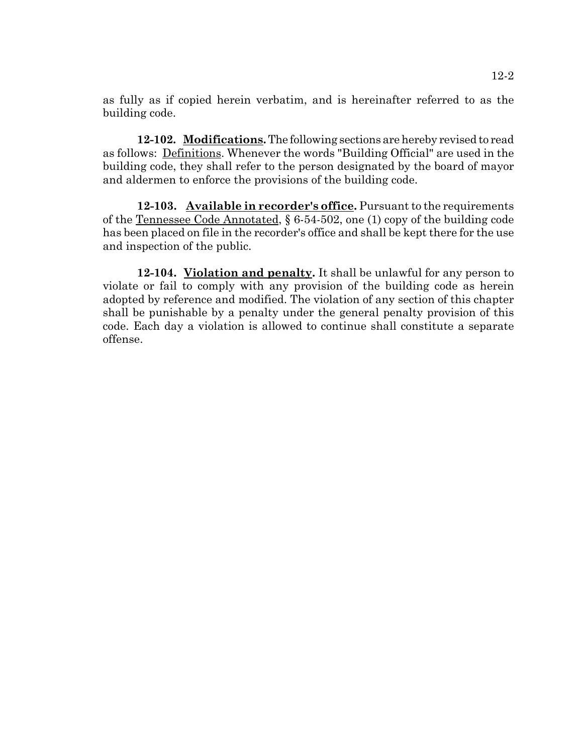as fully as if copied herein verbatim, and is hereinafter referred to as the building code.

**12-102. Modifications.** The following sections are hereby revised to read as follows: Definitions. Whenever the words "Building Official" are used in the building code, they shall refer to the person designated by the board of mayor and aldermen to enforce the provisions of the building code.

**12-103. Available in recorder's office.** Pursuant to the requirements of the Tennessee Code Annotated, § 6-54-502, one (1) copy of the building code has been placed on file in the recorder's office and shall be kept there for the use and inspection of the public.

**12-104. Violation and penalty.** It shall be unlawful for any person to violate or fail to comply with any provision of the building code as herein adopted by reference and modified. The violation of any section of this chapter shall be punishable by a penalty under the general penalty provision of this code. Each day a violation is allowed to continue shall constitute a separate offense.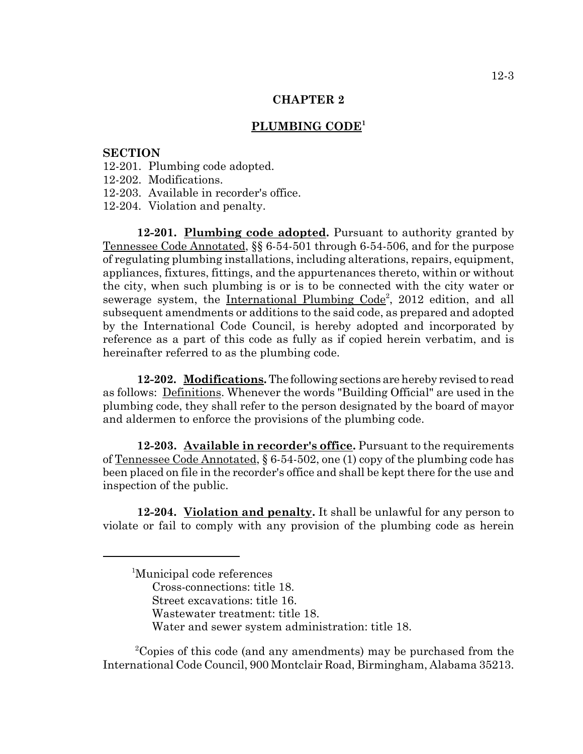# **PLUMBING CODE1**

### **SECTION**

- 12-201. Plumbing code adopted.
- 12-202. Modifications.
- 12-203. Available in recorder's office.
- 12-204. Violation and penalty.

**12-201. Plumbing code adopted.** Pursuant to authority granted by Tennessee Code Annotated, §§ 6-54-501 through 6-54-506, and for the purpose of regulating plumbing installations, including alterations, repairs, equipment, appliances, fixtures, fittings, and the appurtenances thereto, within or without the city, when such plumbing is or is to be connected with the city water or sewerage system, the International Plumbing Code<sup>2</sup>, 2012 edition, and all subsequent amendments or additions to the said code, as prepared and adopted by the International Code Council, is hereby adopted and incorporated by reference as a part of this code as fully as if copied herein verbatim, and is hereinafter referred to as the plumbing code.

**12-202. Modifications.** The following sections are hereby revised to read as follows: Definitions. Whenever the words "Building Official" are used in the plumbing code, they shall refer to the person designated by the board of mayor and aldermen to enforce the provisions of the plumbing code.

**12-203. Available in recorder's office.** Pursuant to the requirements of Tennessee Code Annotated, § 6-54-502, one (1) copy of the plumbing code has been placed on file in the recorder's office and shall be kept there for the use and inspection of the public.

**12-204. Violation and penalty.** It shall be unlawful for any person to violate or fail to comply with any provision of the plumbing code as herein

 <sup>1</sup> Municipal code references Cross-connections: title 18. Street excavations: title 16 Wastewater treatment: title 18. Water and sewer system administration: title 18.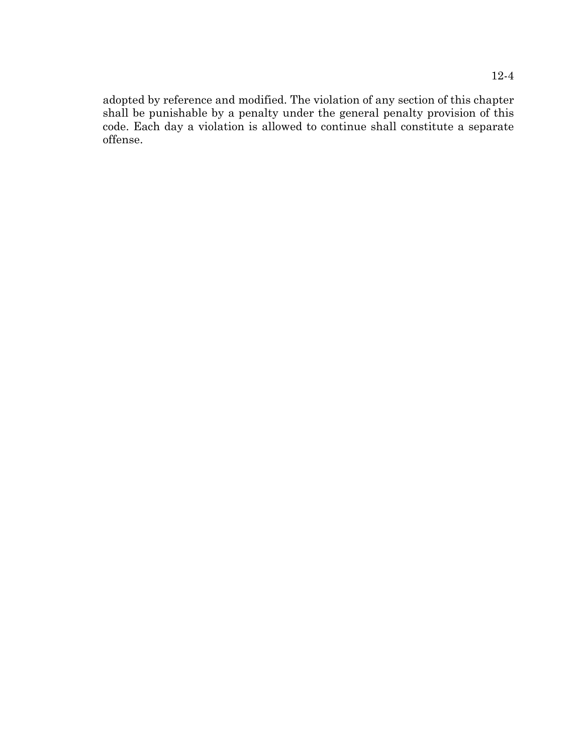adopted by reference and modified. The violation of any section of this chapter shall be punishable by a penalty under the general penalty provision of this code. Each day a violation is allowed to continue shall constitute a separate offense.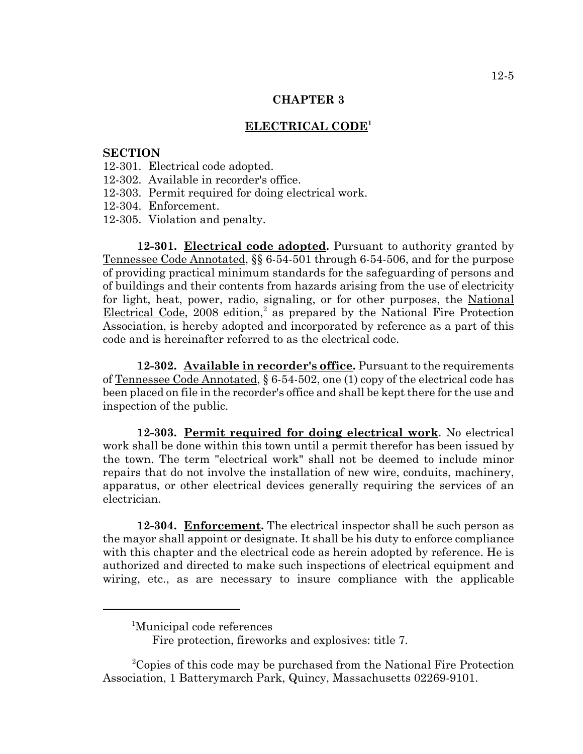# **ELECTRICAL CODE<sup>1</sup>**

### **SECTION**

- 12-301. Electrical code adopted.
- 12-302. Available in recorder's office.
- 12-303. Permit required for doing electrical work.
- 12-304. Enforcement.
- 12-305. Violation and penalty.

**12-301. Electrical code adopted.** Pursuant to authority granted by Tennessee Code Annotated, §§ 6-54-501 through 6-54-506, and for the purpose of providing practical minimum standards for the safeguarding of persons and of buildings and their contents from hazards arising from the use of electricity for light, heat, power, radio, signaling, or for other purposes, the National Electrical Code, 2008 edition,<sup>2</sup> as prepared by the National Fire Protection Association, is hereby adopted and incorporated by reference as a part of this code and is hereinafter referred to as the electrical code.

**12-302. Available in recorder's office.** Pursuant to the requirements of Tennessee Code Annotated, § 6-54-502, one (1) copy of the electrical code has been placed on file in the recorder's office and shall be kept there for the use and inspection of the public.

**12-303. Permit required for doing electrical work**. No electrical work shall be done within this town until a permit therefor has been issued by the town. The term "electrical work" shall not be deemed to include minor repairs that do not involve the installation of new wire, conduits, machinery, apparatus, or other electrical devices generally requiring the services of an electrician.

**12-304. Enforcement.** The electrical inspector shall be such person as the mayor shall appoint or designate. It shall be his duty to enforce compliance with this chapter and the electrical code as herein adopted by reference. He is authorized and directed to make such inspections of electrical equipment and wiring, etc., as are necessary to insure compliance with the applicable

<sup>1</sup> <sup>1</sup>Municipal code references

Fire protection, fireworks and explosives: title 7.

<sup>&</sup>lt;sup>2</sup>Copies of this code may be purchased from the National Fire Protection Association, 1 Batterymarch Park, Quincy, Massachusetts 02269-9101.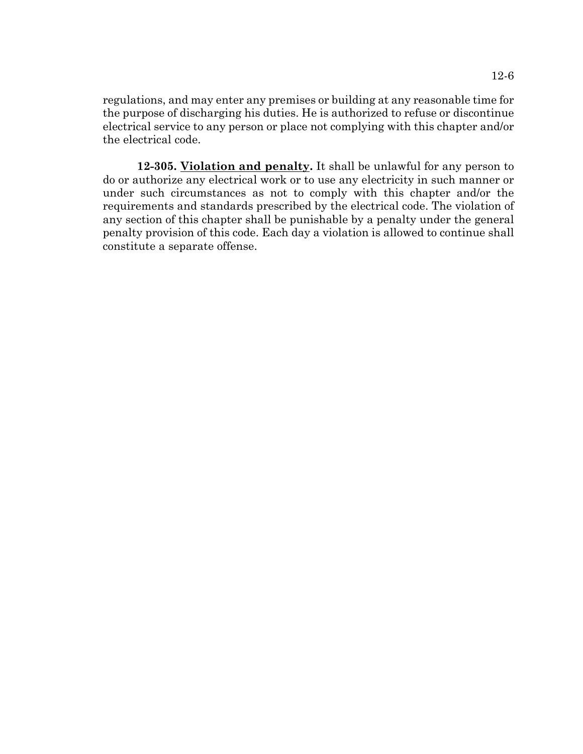regulations, and may enter any premises or building at any reasonable time for the purpose of discharging his duties. He is authorized to refuse or discontinue electrical service to any person or place not complying with this chapter and/or the electrical code.

**12-305. Violation and penalty.** It shall be unlawful for any person to do or authorize any electrical work or to use any electricity in such manner or under such circumstances as not to comply with this chapter and/or the requirements and standards prescribed by the electrical code. The violation of any section of this chapter shall be punishable by a penalty under the general penalty provision of this code. Each day a violation is allowed to continue shall constitute a separate offense.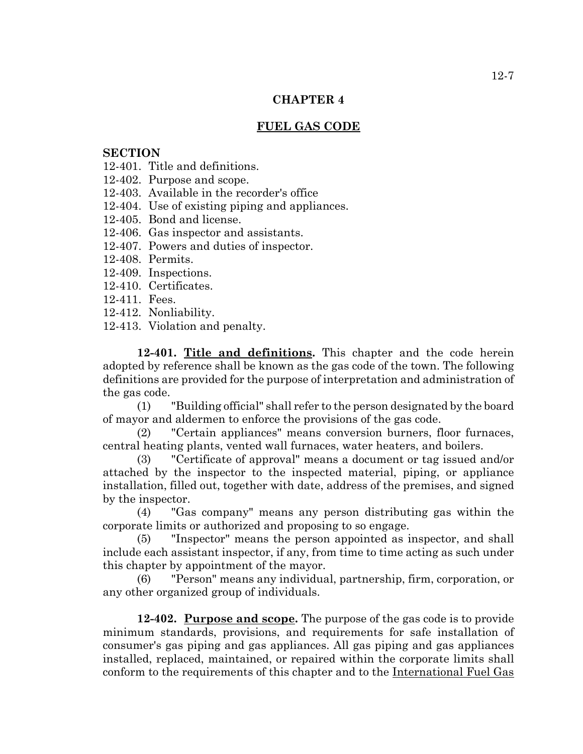# **FUEL GAS CODE**

# **SECTION**

- 12-401. Title and definitions.
- 12-402. Purpose and scope.
- 12-403. Available in the recorder's office
- 12-404. Use of existing piping and appliances.
- 12-405. Bond and license.
- 12-406. Gas inspector and assistants.
- 12-407. Powers and duties of inspector.
- 12-408. Permits.
- 12-409. Inspections.
- 12-410. Certificates.
- 12-411. Fees.
- 12-412. Nonliability.
- 12-413. Violation and penalty.

**12-401. Title and definitions.** This chapter and the code herein adopted by reference shall be known as the gas code of the town. The following definitions are provided for the purpose of interpretation and administration of the gas code.

(1) "Building official" shall refer to the person designated by the board of mayor and aldermen to enforce the provisions of the gas code.

(2) "Certain appliances" means conversion burners, floor furnaces, central heating plants, vented wall furnaces, water heaters, and boilers.

(3) "Certificate of approval" means a document or tag issued and/or attached by the inspector to the inspected material, piping, or appliance installation, filled out, together with date, address of the premises, and signed by the inspector.

(4) "Gas company" means any person distributing gas within the corporate limits or authorized and proposing to so engage.

(5) "Inspector" means the person appointed as inspector, and shall include each assistant inspector, if any, from time to time acting as such under this chapter by appointment of the mayor.

(6) "Person" means any individual, partnership, firm, corporation, or any other organized group of individuals.

**12-402. Purpose and scope.** The purpose of the gas code is to provide minimum standards, provisions, and requirements for safe installation of consumer's gas piping and gas appliances. All gas piping and gas appliances installed, replaced, maintained, or repaired within the corporate limits shall conform to the requirements of this chapter and to the International Fuel Gas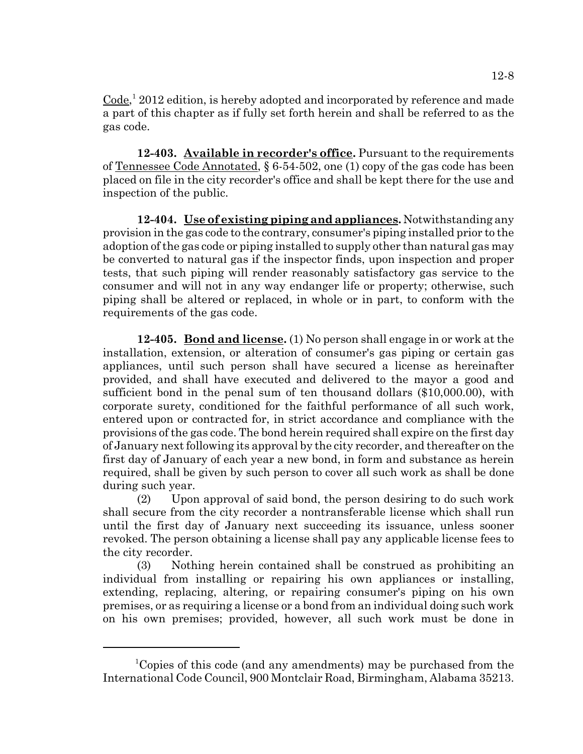Code,<sup>1</sup> 2012 edition, is hereby adopted and incorporated by reference and made a part of this chapter as if fully set forth herein and shall be referred to as the gas code.

**12-403. Available in recorder's office.** Pursuant to the requirements of Tennessee Code Annotated, § 6-54-502, one (1) copy of the gas code has been placed on file in the city recorder's office and shall be kept there for the use and inspection of the public.

**12-404. Use of existing piping and appliances.** Notwithstanding any provision in the gas code to the contrary, consumer's piping installed prior to the adoption of the gas code or piping installed to supply other than natural gas may be converted to natural gas if the inspector finds, upon inspection and proper tests, that such piping will render reasonably satisfactory gas service to the consumer and will not in any way endanger life or property; otherwise, such piping shall be altered or replaced, in whole or in part, to conform with the requirements of the gas code.

**12-405. Bond and license.** (1) No person shall engage in or work at the installation, extension, or alteration of consumer's gas piping or certain gas appliances, until such person shall have secured a license as hereinafter provided, and shall have executed and delivered to the mayor a good and sufficient bond in the penal sum of ten thousand dollars (\$10,000.00), with corporate surety, conditioned for the faithful performance of all such work, entered upon or contracted for, in strict accordance and compliance with the provisions of the gas code. The bond herein required shall expire on the first day of January next following its approval by the city recorder, and thereafter on the first day of January of each year a new bond, in form and substance as herein required, shall be given by such person to cover all such work as shall be done during such year.

(2) Upon approval of said bond, the person desiring to do such work shall secure from the city recorder a nontransferable license which shall run until the first day of January next succeeding its issuance, unless sooner revoked. The person obtaining a license shall pay any applicable license fees to the city recorder.

(3) Nothing herein contained shall be construed as prohibiting an individual from installing or repairing his own appliances or installing, extending, replacing, altering, or repairing consumer's piping on his own premises, or as requiring a license or a bond from an individual doing such work on his own premises; provided, however, all such work must be done in

<sup>1</sup> Copies of this code (and any amendments) may be purchased from the International Code Council, 900 Montclair Road, Birmingham, Alabama 35213.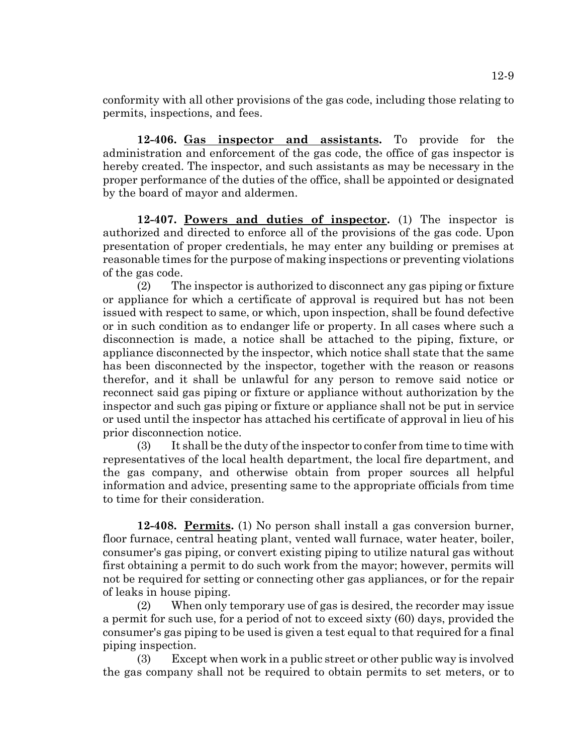conformity with all other provisions of the gas code, including those relating to permits, inspections, and fees.

**12-406. Gas inspector and assistants.** To provide for the administration and enforcement of the gas code, the office of gas inspector is hereby created. The inspector, and such assistants as may be necessary in the proper performance of the duties of the office, shall be appointed or designated by the board of mayor and aldermen.

**12-407. Powers and duties of inspector.** (1) The inspector is authorized and directed to enforce all of the provisions of the gas code. Upon presentation of proper credentials, he may enter any building or premises at reasonable times for the purpose of making inspections or preventing violations of the gas code.

(2) The inspector is authorized to disconnect any gas piping or fixture or appliance for which a certificate of approval is required but has not been issued with respect to same, or which, upon inspection, shall be found defective or in such condition as to endanger life or property. In all cases where such a disconnection is made, a notice shall be attached to the piping, fixture, or appliance disconnected by the inspector, which notice shall state that the same has been disconnected by the inspector, together with the reason or reasons therefor, and it shall be unlawful for any person to remove said notice or reconnect said gas piping or fixture or appliance without authorization by the inspector and such gas piping or fixture or appliance shall not be put in service or used until the inspector has attached his certificate of approval in lieu of his prior disconnection notice.

(3) It shall be the duty of the inspector to confer from time to time with representatives of the local health department, the local fire department, and the gas company, and otherwise obtain from proper sources all helpful information and advice, presenting same to the appropriate officials from time to time for their consideration.

**12-408. Permits.** (1) No person shall install a gas conversion burner, floor furnace, central heating plant, vented wall furnace, water heater, boiler, consumer's gas piping, or convert existing piping to utilize natural gas without first obtaining a permit to do such work from the mayor; however, permits will not be required for setting or connecting other gas appliances, or for the repair of leaks in house piping.

(2) When only temporary use of gas is desired, the recorder may issue a permit for such use, for a period of not to exceed sixty (60) days, provided the consumer's gas piping to be used is given a test equal to that required for a final piping inspection.

(3) Except when work in a public street or other public way is involved the gas company shall not be required to obtain permits to set meters, or to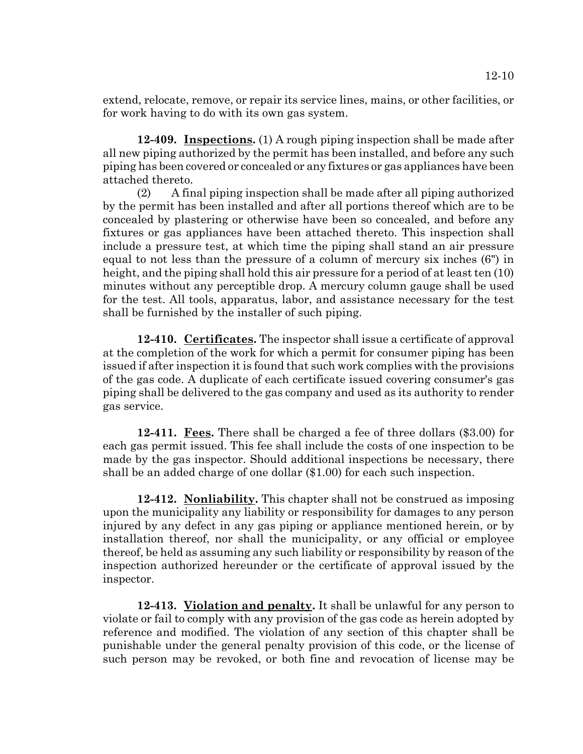12-10

**12-409. Inspections.** (1) A rough piping inspection shall be made after all new piping authorized by the permit has been installed, and before any such piping has been covered or concealed or any fixtures or gas appliances have been attached thereto.

(2) A final piping inspection shall be made after all piping authorized by the permit has been installed and after all portions thereof which are to be concealed by plastering or otherwise have been so concealed, and before any fixtures or gas appliances have been attached thereto. This inspection shall include a pressure test, at which time the piping shall stand an air pressure equal to not less than the pressure of a column of mercury six inches (6") in height, and the piping shall hold this air pressure for a period of at least ten (10) minutes without any perceptible drop. A mercury column gauge shall be used for the test. All tools, apparatus, labor, and assistance necessary for the test shall be furnished by the installer of such piping.

**12-410. Certificates.** The inspector shall issue a certificate of approval at the completion of the work for which a permit for consumer piping has been issued if after inspection it is found that such work complies with the provisions of the gas code. A duplicate of each certificate issued covering consumer's gas piping shall be delivered to the gas company and used as its authority to render gas service.

**12-411. Fees.** There shall be charged a fee of three dollars (\$3.00) for each gas permit issued. This fee shall include the costs of one inspection to be made by the gas inspector. Should additional inspections be necessary, there shall be an added charge of one dollar (\$1.00) for each such inspection.

**12-412. Nonliability.** This chapter shall not be construed as imposing upon the municipality any liability or responsibility for damages to any person injured by any defect in any gas piping or appliance mentioned herein, or by installation thereof, nor shall the municipality, or any official or employee thereof, be held as assuming any such liability or responsibility by reason of the inspection authorized hereunder or the certificate of approval issued by the inspector.

**12-413. Violation and penalty.** It shall be unlawful for any person to violate or fail to comply with any provision of the gas code as herein adopted by reference and modified. The violation of any section of this chapter shall be punishable under the general penalty provision of this code, or the license of such person may be revoked, or both fine and revocation of license may be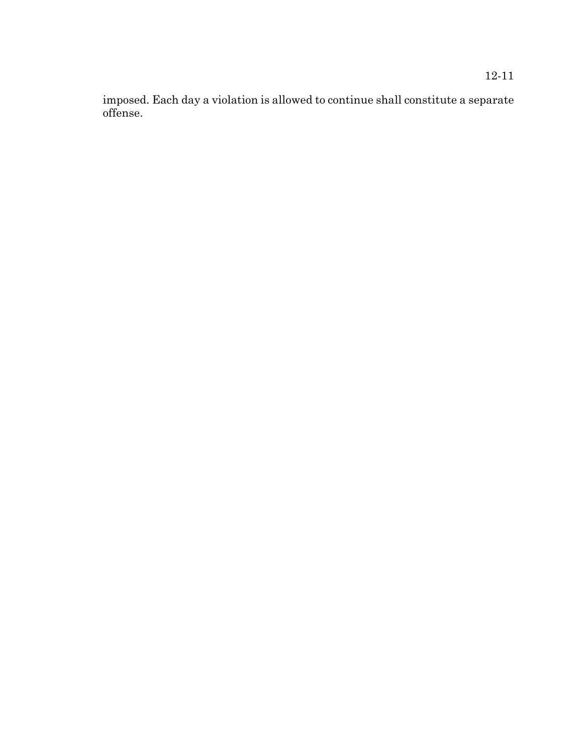imposed. Each day a violation is allowed to continue shall constitute a separate offense.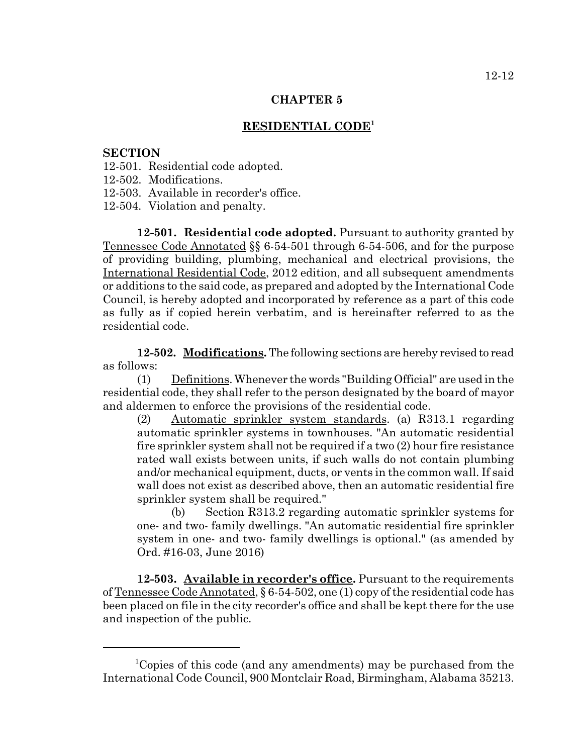# **RESIDENTIAL CODE<sup>1</sup>**

### **SECTION**

- 12-501. Residential code adopted.
- 12-502. Modifications.
- 12-503. Available in recorder's office.
- 12-504. Violation and penalty.

**12-501. Residential code adopted.** Pursuant to authority granted by Tennessee Code Annotated §§ 6-54-501 through 6-54-506, and for the purpose of providing building, plumbing, mechanical and electrical provisions, the International Residential Code, 2012 edition, and all subsequent amendments or additions to the said code, as prepared and adopted by the International Code Council, is hereby adopted and incorporated by reference as a part of this code as fully as if copied herein verbatim, and is hereinafter referred to as the residential code.

**12-502. Modifications.** The following sections are hereby revised to read as follows:

(1) Definitions. Whenever the words "Building Official" are used in the residential code, they shall refer to the person designated by the board of mayor and aldermen to enforce the provisions of the residential code.

(2) Automatic sprinkler system standards. (a) R313.1 regarding automatic sprinkler systems in townhouses. "An automatic residential fire sprinkler system shall not be required if a two (2) hour fire resistance rated wall exists between units, if such walls do not contain plumbing and/or mechanical equipment, ducts, or vents in the common wall. If said wall does not exist as described above, then an automatic residential fire sprinkler system shall be required."

(b) Section R313.2 regarding automatic sprinkler systems for one- and two- family dwellings. "An automatic residential fire sprinkler system in one- and two- family dwellings is optional." (as amended by Ord. #16-03, June 2016)

**12-503. Available in recorder's office.** Pursuant to the requirements of Tennessee Code Annotated, § 6-54-502, one (1) copy of the residential code has been placed on file in the city recorder's office and shall be kept there for the use and inspection of the public.

<sup>1</sup> Copies of this code (and any amendments) may be purchased from the International Code Council, 900 Montclair Road, Birmingham, Alabama 35213.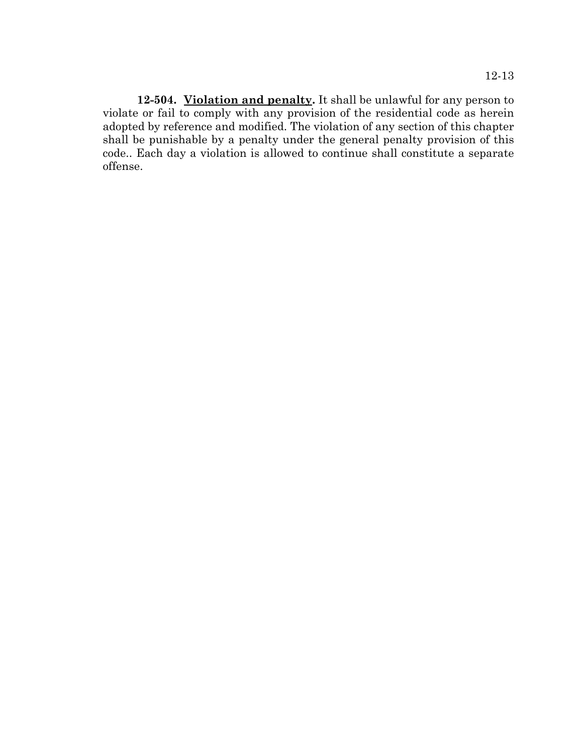**12-504. Violation and penalty.** It shall be unlawful for any person to violate or fail to comply with any provision of the residential code as herein adopted by reference and modified. The violation of any section of this chapter shall be punishable by a penalty under the general penalty provision of this code.. Each day a violation is allowed to continue shall constitute a separate offense.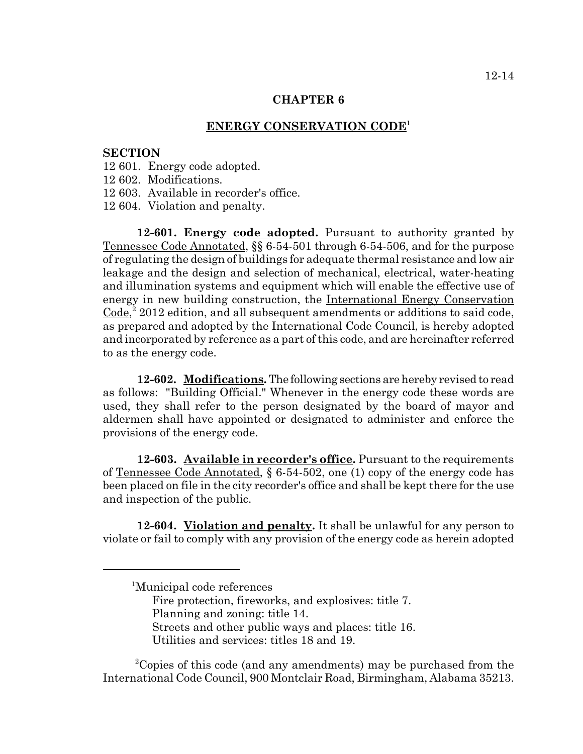# **ENERGY CONSERVATION CODE<sup>1</sup>**

#### **SECTION**

- 12 601. Energy code adopted.
- 12 602. Modifications.
- 12 603. Available in recorder's office.
- 12 604. Violation and penalty.

**12-601. Energy code adopted.** Pursuant to authority granted by Tennessee Code Annotated, §§ 6-54-501 through 6-54-506, and for the purpose of regulating the design of buildings for adequate thermal resistance and low air leakage and the design and selection of mechanical, electrical, water-heating and illumination systems and equipment which will enable the effective use of energy in new building construction, the International Energy Conservation Code,<sup>2</sup> 2012 edition, and all subsequent amendments or additions to said code, as prepared and adopted by the International Code Council, is hereby adopted and incorporated by reference as a part of this code, and are hereinafter referred to as the energy code.

**12-602. Modifications.** The following sections are hereby revised to read as follows: "Building Official." Whenever in the energy code these words are used, they shall refer to the person designated by the board of mayor and aldermen shall have appointed or designated to administer and enforce the provisions of the energy code.

**12-603. Available in recorder's office.** Pursuant to the requirements of Tennessee Code Annotated, § 6-54-502, one (1) copy of the energy code has been placed on file in the city recorder's office and shall be kept there for the use and inspection of the public.

**12-604. Violation and penalty.** It shall be unlawful for any person to violate or fail to comply with any provision of the energy code as herein adopted

<sup>1</sup> <sup>1</sup>Municipal code references Fire protection, fireworks, and explosives: title 7. Planning and zoning: title 14. Streets and other public ways and places: title 16. Utilities and services: titles 18 and 19.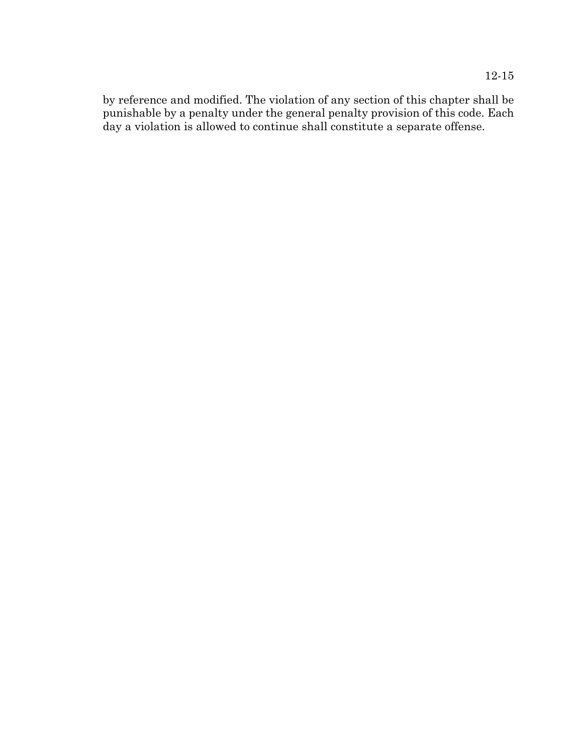by reference and modified. The violation of any section of this chapter shall be punishable by a penalty under the general penalty provision of this code. Each day a violation is allowed to continue shall constitute a separate offense.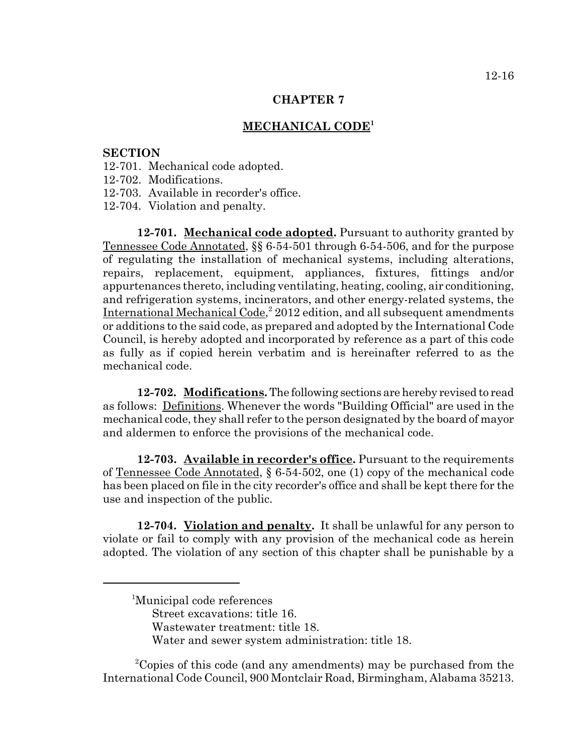# **MECHANICAL CODE<sup>1</sup>**

### **SECTION**

- 12-701. Mechanical code adopted.
- 12-702. Modifications.
- 12-703. Available in recorder's office.
- 12-704. Violation and penalty.

**12-701. Mechanical code adopted.** Pursuant to authority granted by Tennessee Code Annotated, §§ 6-54-501 through 6-54-506, and for the purpose of regulating the installation of mechanical systems, including alterations, repairs, replacement, equipment, appliances, fixtures, fittings and/or appurtenances thereto, including ventilating, heating, cooling, air conditioning, and refrigeration systems, incinerators, and other energy-related systems, the International Mechanical Code,<sup>2</sup> 2012 edition, and all subsequent amendments or additions to the said code, as prepared and adopted by the International Code Council, is hereby adopted and incorporated by reference as a part of this code as fully as if copied herein verbatim and is hereinafter referred to as the mechanical code.

**12-702. Modifications.** The following sections are hereby revised to read as follows: Definitions. Whenever the words "Building Official" are used in the mechanical code, they shall refer to the person designated by the board of mayor and aldermen to enforce the provisions of the mechanical code.

**12-703. Available in recorder's office.** Pursuant to the requirements of Tennessee Code Annotated, § 6-54-502, one (1) copy of the mechanical code has been placed on file in the city recorder's office and shall be kept there for the use and inspection of the public.

**12-704. Violation and penalty.** It shall be unlawful for any person to violate or fail to comply with any provision of the mechanical code as herein adopted. The violation of any section of this chapter shall be punishable by a

<sup>1</sup> Municipal code references Street excavations: title 16. Wastewater treatment: title 18. Water and sewer system administration: title 18.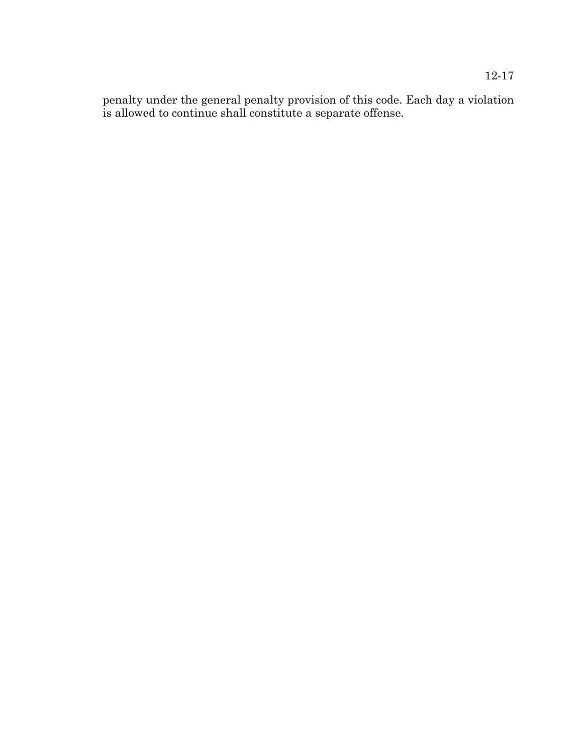penalty under the general penalty provision of this code. Each day a violation is allowed to continue shall constitute a separate offense.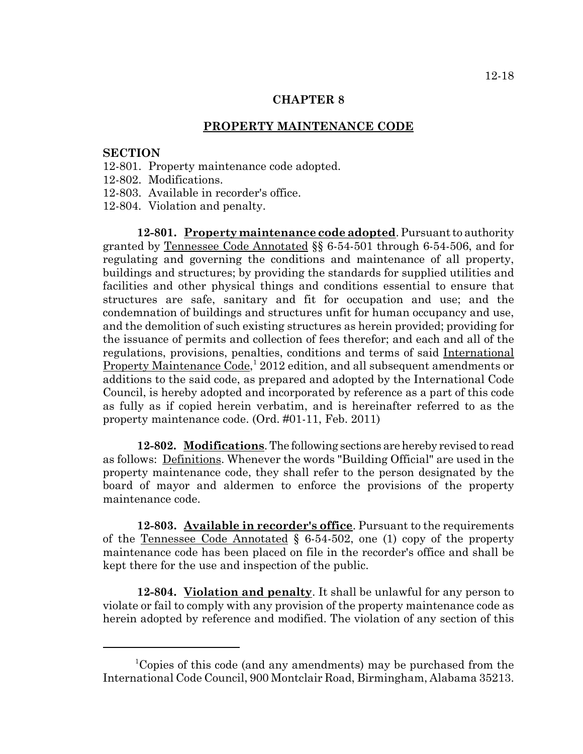# **PROPERTY MAINTENANCE CODE**

### **SECTION**

- 12-801. Property maintenance code adopted.
- 12-802. Modifications.
- 12-803. Available in recorder's office.
- 12-804. Violation and penalty.

**12-801. Property maintenance code adopted**. Pursuant to authority granted by Tennessee Code Annotated §§ 6-54-501 through 6-54-506, and for regulating and governing the conditions and maintenance of all property, buildings and structures; by providing the standards for supplied utilities and facilities and other physical things and conditions essential to ensure that structures are safe, sanitary and fit for occupation and use; and the condemnation of buildings and structures unfit for human occupancy and use, and the demolition of such existing structures as herein provided; providing for the issuance of permits and collection of fees therefor; and each and all of the regulations, provisions, penalties, conditions and terms of said International Property Maintenance Code,<sup>1</sup> 2012 edition, and all subsequent amendments or additions to the said code, as prepared and adopted by the International Code Council, is hereby adopted and incorporated by reference as a part of this code as fully as if copied herein verbatim, and is hereinafter referred to as the property maintenance code. (Ord. #01-11, Feb. 2011)

**12-802. Modifications**. The following sections are hereby revised to read as follows: Definitions. Whenever the words "Building Official" are used in the property maintenance code, they shall refer to the person designated by the board of mayor and aldermen to enforce the provisions of the property maintenance code.

**12-803. Available in recorder's office**. Pursuant to the requirements of the Tennessee Code Annotated  $\S$  6-54-502, one (1) copy of the property maintenance code has been placed on file in the recorder's office and shall be kept there for the use and inspection of the public.

**12-804. Violation and penalty**. It shall be unlawful for any person to violate or fail to comply with any provision of the property maintenance code as herein adopted by reference and modified. The violation of any section of this

<sup>1</sup> Copies of this code (and any amendments) may be purchased from the International Code Council, 900 Montclair Road, Birmingham, Alabama 35213.